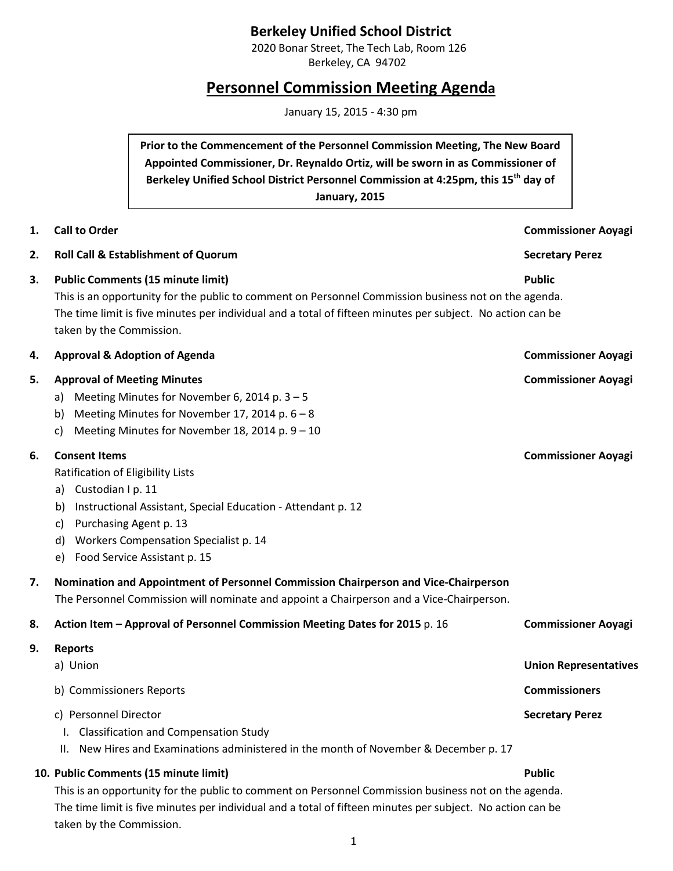## **Berkeley Unified School District**

2020 Bonar Street, The Tech Lab, Room 126 Berkeley, CA 94702

# **Personnel Commission Meeting Agenda**

January 15, 2015 - 4:30 pm

**Prior to the Commencement of the Personnel Commission Meeting, The New Board Appointed Commissioner, Dr. Reynaldo Ortiz, will be sworn in as Commissioner of Berkeley Unified School District Personnel Commission at 4:25pm, this 15th day of January, 2015**

| 1. | <b>Call to Order</b>                                                                                                                                                                                                                                                                       | <b>Commissioner Aoyagi</b>                           |
|----|--------------------------------------------------------------------------------------------------------------------------------------------------------------------------------------------------------------------------------------------------------------------------------------------|------------------------------------------------------|
| 2. | <b>Roll Call &amp; Establishment of Quorum</b>                                                                                                                                                                                                                                             | <b>Secretary Perez</b>                               |
| З. | <b>Public Comments (15 minute limit)</b><br>This is an opportunity for the public to comment on Personnel Commission business not on the agenda.<br>The time limit is five minutes per individual and a total of fifteen minutes per subject. No action can be<br>taken by the Commission. | <b>Public</b>                                        |
| 4. | <b>Approval &amp; Adoption of Agenda</b>                                                                                                                                                                                                                                                   | <b>Commissioner Aoyagi</b>                           |
| 5. | <b>Approval of Meeting Minutes</b><br>Meeting Minutes for November 6, 2014 p. $3 - 5$<br>a)<br>Meeting Minutes for November 17, 2014 p. 6 - 8<br>b)<br>Meeting Minutes for November 18, 2014 p. 9 - 10<br>c)                                                                               | <b>Commissioner Aoyagi</b>                           |
| 6. | <b>Consent Items</b><br>Ratification of Eligibility Lists<br>a) Custodian I p. 11<br>Instructional Assistant, Special Education - Attendant p. 12<br>b)<br>Purchasing Agent p. 13<br>c)<br>Workers Compensation Specialist p. 14<br>d)<br>Food Service Assistant p. 15<br>e)               | <b>Commissioner Aoyagi</b>                           |
| 7. | Nomination and Appointment of Personnel Commission Chairperson and Vice-Chairperson<br>The Personnel Commission will nominate and appoint a Chairperson and a Vice-Chairperson.                                                                                                            |                                                      |
| 8. | Action Item - Approval of Personnel Commission Meeting Dates for 2015 p. 16                                                                                                                                                                                                                | <b>Commissioner Aoyagi</b>                           |
| 9. | <b>Reports</b><br>a) Union<br>b) Commissioners Reports                                                                                                                                                                                                                                     | <b>Union Representatives</b><br><b>Commissioners</b> |
|    | c) Personnel Director<br><b>Classification and Compensation Study</b><br>New Hires and Examinations administered in the month of November & December p. 17<br>Ш.                                                                                                                           | <b>Secretary Perez</b>                               |
|    | 10. Public Comments (15 minute limit)<br>This is an opportunity for the public to comment on Personnel Commission business not on the agenda.<br>The time limit is five minutes per individual and a total of fifteen minutes per subject. No action can be<br>taken by the Commission.    | <b>Public</b>                                        |